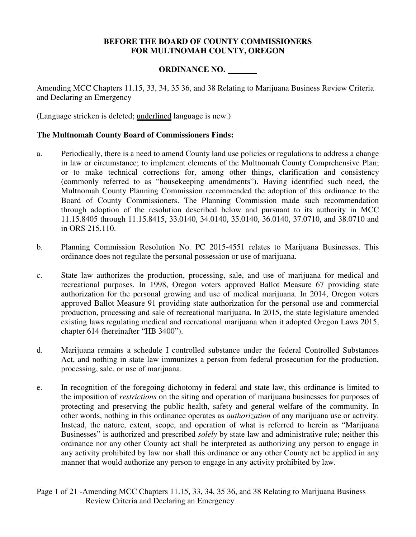### **BEFORE THE BOARD OF COUNTY COMMISSIONERS FOR MULTNOMAH COUNTY, OREGON**

### **ORDINANCE NO.**

Amending MCC Chapters 11.15, 33, 34, 35 36, and 38 Relating to Marijuana Business Review Criteria and Declaring an Emergency

(Language stricken is deleted; underlined language is new.)

### **The Multnomah County Board of Commissioners Finds:**

- a. Periodically, there is a need to amend County land use policies or regulations to address a change in law or circumstance; to implement elements of the Multnomah County Comprehensive Plan; or to make technical corrections for, among other things, clarification and consistency (commonly referred to as "housekeeping amendments"). Having identified such need, the Multnomah County Planning Commission recommended the adoption of this ordinance to the Board of County Commissioners. The Planning Commission made such recommendation through adoption of the resolution described below and pursuant to its authority in MCC 11.15.8405 through 11.15.8415, 33.0140, 34.0140, 35.0140, 36.0140, 37.0710, and 38.0710 and in ORS 215.110.
- b. Planning Commission Resolution No. PC 2015-4551 relates to Marijuana Businesses. This ordinance does not regulate the personal possession or use of marijuana.
- c. State law authorizes the production, processing, sale, and use of marijuana for medical and recreational purposes. In 1998, Oregon voters approved Ballot Measure 67 providing state authorization for the personal growing and use of medical marijuana. In 2014, Oregon voters approved Ballot Measure 91 providing state authorization for the personal use and commercial production, processing and sale of recreational marijuana. In 2015, the state legislature amended existing laws regulating medical and recreational marijuana when it adopted Oregon Laws 2015, chapter 614 (hereinafter "HB 3400").
- d. Marijuana remains a schedule I controlled substance under the federal Controlled Substances Act, and nothing in state law immunizes a person from federal prosecution for the production, processing, sale, or use of marijuana.
- e. In recognition of the foregoing dichotomy in federal and state law, this ordinance is limited to the imposition of *restrictions* on the siting and operation of marijuana businesses for purposes of protecting and preserving the public health, safety and general welfare of the community. In other words, nothing in this ordinance operates as *authorization* of any marijuana use or activity. Instead, the nature, extent, scope, and operation of what is referred to herein as "Marijuana Businesses" is authorized and prescribed *solely* by state law and administrative rule; neither this ordinance nor any other County act shall be interpreted as authorizing any person to engage in any activity prohibited by law nor shall this ordinance or any other County act be applied in any manner that would authorize any person to engage in any activity prohibited by law.
- Page 1 of 21 -Amending MCC Chapters 11.15, 33, 34, 35 36, and 38 Relating to Marijuana Business Review Criteria and Declaring an Emergency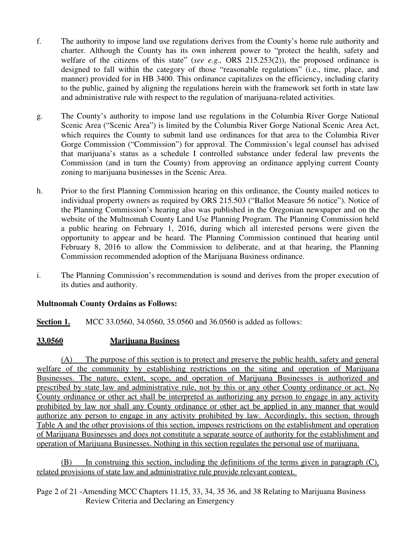- f. The authority to impose land use regulations derives from the County's home rule authority and charter. Although the County has its own inherent power to "protect the health, safety and welfare of the citizens of this state" (*see e.g.*, ORS 215.253(2)), the proposed ordinance is designed to fall within the category of those "reasonable regulations" (i.e., time, place, and manner) provided for in HB 3400. This ordinance capitalizes on the efficiency, including clarity to the public, gained by aligning the regulations herein with the framework set forth in state law and administrative rule with respect to the regulation of marijuana-related activities.
- g. The County's authority to impose land use regulations in the Columbia River Gorge National Scenic Area ("Scenic Area") is limited by the Columbia River Gorge National Scenic Area Act, which requires the County to submit land use ordinances for that area to the Columbia River Gorge Commission ("Commission") for approval. The Commission's legal counsel has advised that marijuana's status as a schedule I controlled substance under federal law prevents the Commission (and in turn the County) from approving an ordinance applying current County zoning to marijuana businesses in the Scenic Area.
- h. Prior to the first Planning Commission hearing on this ordinance, the County mailed notices to individual property owners as required by ORS 215.503 ("Ballot Measure 56 notice"). Notice of the Planning Commission's hearing also was published in the Oregonian newspaper and on the website of the Multnomah County Land Use Planning Program. The Planning Commission held a public hearing on February 1, 2016, during which all interested persons were given the opportunity to appear and be heard. The Planning Commission continued that hearing until February 8, 2016 to allow the Commission to deliberate, and at that hearing, the Planning Commission recommended adoption of the Marijuana Business ordinance.
- i. The Planning Commission's recommendation is sound and derives from the proper execution of its duties and authority.

### **Multnomah County Ordains as Follows:**

**Section 1.** MCC 33.0560, 34.0560, 35.0560 and 36.0560 is added as follows:

### **33.0560 Marijuana Business**

(A) The purpose of this section is to protect and preserve the public health, safety and general welfare of the community by establishing restrictions on the siting and operation of Marijuana Businesses. The nature, extent, scope, and operation of Marijuana Businesses is authorized and prescribed by state law and administrative rule, not by this or any other County ordinance or act. No County ordinance or other act shall be interpreted as authorizing any person to engage in any activity prohibited by law nor shall any County ordinance or other act be applied in any manner that would authorize any person to engage in any activity prohibited by law. Accordingly, this section, through Table A and the other provisions of this section, imposes restrictions on the establishment and operation of Marijuana Businesses and does not constitute a separate source of authority for the establishment and operation of Marijuana Businesses. Nothing in this section regulates the personal use of marijuana.

(B) In construing this section, including the definitions of the terms given in paragraph (C), related provisions of state law and administrative rule provide relevant context.

Page 2 of 21 -Amending MCC Chapters 11.15, 33, 34, 35 36, and 38 Relating to Marijuana Business Review Criteria and Declaring an Emergency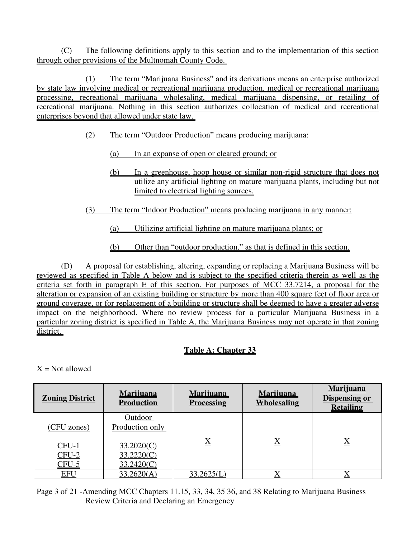(C) The following definitions apply to this section and to the implementation of this section through other provisions of the Multnomah County Code.

(1) The term "Marijuana Business" and its derivations means an enterprise authorized by state law involving medical or recreational marijuana production, medical or recreational marijuana processing, recreational marijuana wholesaling, medical marijuana dispensing, or retailing of recreational marijuana. Nothing in this section authorizes collocation of medical and recreational enterprises beyond that allowed under state law.

### (2) The term "Outdoor Production" means producing marijuana:

- (a) In an expanse of open or cleared ground; or
- (b) In a greenhouse, hoop house or similar non-rigid structure that does not utilize any artificial lighting on mature marijuana plants, including but not limited to electrical lighting sources.
- (3) The term "Indoor Production" means producing marijuana in any manner:
	- (a) Utilizing artificial lighting on mature marijuana plants; or
	- (b) Other than "outdoor production," as that is defined in this section.

(D) A proposal for establishing, altering, expanding or replacing a Marijuana Business will be reviewed as specified in Table A below and is subject to the specified criteria therein as well as the criteria set forth in paragraph E of this section. For purposes of MCC 33.7214, a proposal for the alteration or expansion of an existing building or structure by more than 400 square feet of floor area or ground coverage, or for replacement of a building or structure shall be deemed to have a greater adverse impact on the neighborhood. Where no review process for a particular Marijuana Business in a particular zoning district is specified in Table A, the Marijuana Business may not operate in that zoning district.

## **Table A: Chapter 33**

 $X = Not allowed$ 

| <b>Zoning District</b>                          | <b>Marijuana</b><br><b>Production</b>                                       | <b>Marijuana</b><br><b>Processing</b> | <b>Marijuana</b><br><b>Wholesaling</b> | <b>Marijuana</b><br><b>Dispensing or</b><br><b>Retailing</b> |
|-------------------------------------------------|-----------------------------------------------------------------------------|---------------------------------------|----------------------------------------|--------------------------------------------------------------|
| (CFU zones)<br><u>CFU-1</u><br>$CFU-2$<br>CFU-5 | <b>Outdoor</b><br>Production only<br>33.2020(C)<br>33.2220(C)<br>33.2420(C) | $\overline{\text{X}}$                 | $\underline{X}$                        | $\underline{X}$                                              |
| <u>EFU</u>                                      | 33.2620(A)                                                                  | 33.2625(L)                            |                                        |                                                              |

Page 3 of 21 -Amending MCC Chapters 11.15, 33, 34, 35 36, and 38 Relating to Marijuana Business Review Criteria and Declaring an Emergency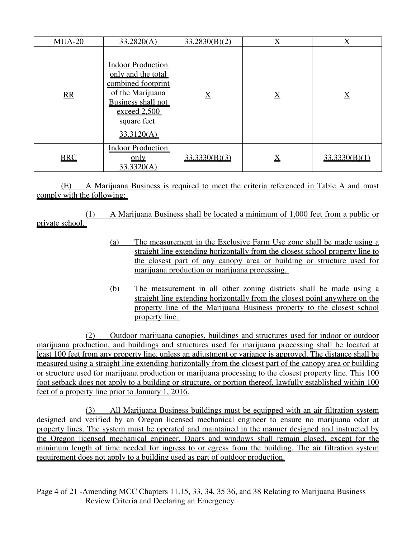| $MUA-20$   | 33.2820(A)                                                                                                                                                   | 33.2830(B)(2)   | $\underline{\underline{X}}$ | $\mathbf v$<br>▵ |
|------------|--------------------------------------------------------------------------------------------------------------------------------------------------------------|-----------------|-----------------------------|------------------|
| R          | <b>Indoor Production</b><br>only and the total<br>combined footprint<br>of the Marijuana<br>Business shall not<br>exceed 2,500<br>square feet.<br>33.3120(A) | $\underline{X}$ | $\underline{X}$             | $\underline{X}$  |
| <b>BRC</b> | <b>Indoor Production</b><br>$\underline{\text{only}}$<br>33.3320(A)                                                                                          | 33.3330(B)(3)   | $\underline{X}$             | 33.3330(B)(1)    |

(E) A Marijuana Business is required to meet the criteria referenced in Table A and must comply with the following:

(1) A Marijuana Business shall be located a minimum of 1,000 feet from a public or private school.

- (a) The measurement in the Exclusive Farm Use zone shall be made using a straight line extending horizontally from the closest school property line to the closest part of any canopy area or building or structure used for marijuana production or marijuana processing.
- (b) The measurement in all other zoning districts shall be made using a straight line extending horizontally from the closest point anywhere on the property line of the Marijuana Business property to the closest school property line.

(2) Outdoor marijuana canopies, buildings and structures used for indoor or outdoor marijuana production, and buildings and structures used for marijuana processing shall be located at least 100 feet from any property line, unless an adjustment or variance is approved. The distance shall be measured using a straight line extending horizontally from the closest part of the canopy area or building or structure used for marijuana production or marijuana processing to the closest property line. This 100 foot setback does not apply to a building or structure, or portion thereof, lawfully established within 100 feet of a property line prior to January 1, 2016.

(3) All Marijuana Business buildings must be equipped with an air filtration system designed and verified by an Oregon licensed mechanical engineer to ensure no marijuana odor at property lines. The system must be operated and maintained in the manner designed and instructed by the Oregon licensed mechanical engineer. Doors and windows shall remain closed, except for the minimum length of time needed for ingress to or egress from the building. The air filtration system requirement does not apply to a building used as part of outdoor production.

Page 4 of 21 -Amending MCC Chapters 11.15, 33, 34, 35 36, and 38 Relating to Marijuana Business Review Criteria and Declaring an Emergency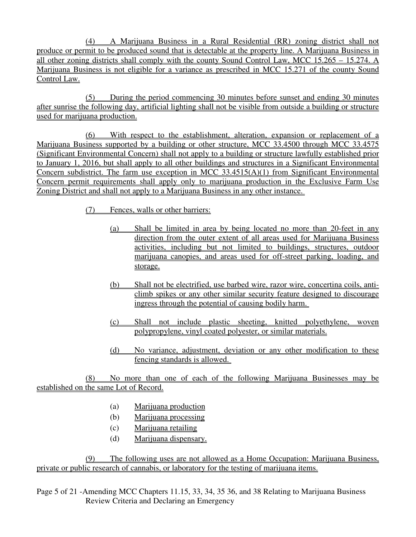(4) A Marijuana Business in a Rural Residential (RR) zoning district shall not produce or permit to be produced sound that is detectable at the property line. A Marijuana Business in all other zoning districts shall comply with the county Sound Control Law, MCC 15.265 – 15.274. A Marijuana Business is not eligible for a variance as prescribed in MCC 15.271 of the county Sound Control Law.

(5) During the period commencing 30 minutes before sunset and ending 30 minutes after sunrise the following day, artificial lighting shall not be visible from outside a building or structure used for marijuana production.

(6) With respect to the establishment, alteration, expansion or replacement of a Marijuana Business supported by a building or other structure, MCC 33.4500 through MCC 33.4575 (Significant Environmental Concern) shall not apply to a building or structure lawfully established prior to January 1, 2016, but shall apply to all other buildings and structures in a Significant Environmental Concern subdistrict. The farm use exception in MCC 33.4515(A)(1) from Significant Environmental Concern permit requirements shall apply only to marijuana production in the Exclusive Farm Use Zoning District and shall not apply to a Marijuana Business in any other instance.

- (7) Fences, walls or other barriers:
	- (a) Shall be limited in area by being located no more than 20-feet in any direction from the outer extent of all areas used for Marijuana Business activities, including but not limited to buildings, structures, outdoor marijuana canopies, and areas used for off-street parking, loading, and storage.
	- (b) Shall not be electrified, use barbed wire, razor wire, concertina coils, anticlimb spikes or any other similar security feature designed to discourage ingress through the potential of causing bodily harm.
	- (c) Shall not include plastic sheeting, knitted polyethylene, woven polypropylene, vinyl coated polyester, or similar materials.
	- (d) No variance, adjustment, deviation or any other modification to these fencing standards is allowed.

(8) No more than one of each of the following Marijuana Businesses may be established on the same Lot of Record.

- (a) Marijuana production
- (b) Marijuana processing
- (c) Marijuana retailing
- (d) Marijuana dispensary.

(9) The following uses are not allowed as a Home Occupation: Marijuana Business, private or public research of cannabis, or laboratory for the testing of marijuana items.

Page 5 of 21 -Amending MCC Chapters 11.15, 33, 34, 35 36, and 38 Relating to Marijuana Business Review Criteria and Declaring an Emergency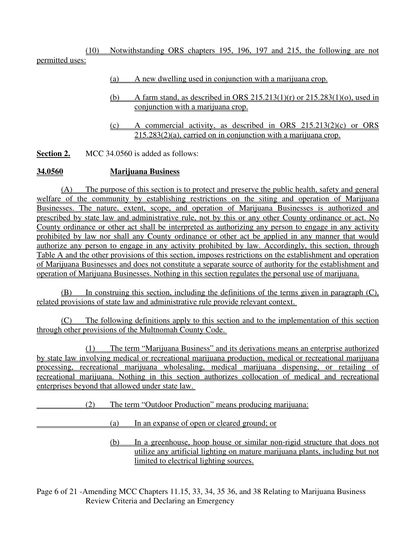(10) Notwithstanding ORS chapters 195, 196, 197 and 215, the following are not permitted uses:

- (a) A new dwelling used in conjunction with a marijuana crop.
- (b) A farm stand, as described in ORS  $215.213(1)(r)$  or  $215.283(1)(o)$ , used in conjunction with a marijuana crop.
- (c) A commercial activity, as described in ORS 215.213(2)(c) or ORS 215.283(2)(a), carried on in conjunction with a marijuana crop.

**Section 2.** MCC 34.0560 is added as follows:

### **34.0560 Marijuana Business**

(A) The purpose of this section is to protect and preserve the public health, safety and general welfare of the community by establishing restrictions on the siting and operation of Marijuana Businesses. The nature, extent, scope, and operation of Marijuana Businesses is authorized and prescribed by state law and administrative rule, not by this or any other County ordinance or act. No County ordinance or other act shall be interpreted as authorizing any person to engage in any activity prohibited by law nor shall any County ordinance or other act be applied in any manner that would authorize any person to engage in any activity prohibited by law. Accordingly, this section, through Table A and the other provisions of this section, imposes restrictions on the establishment and operation of Marijuana Businesses and does not constitute a separate source of authority for the establishment and operation of Marijuana Businesses. Nothing in this section regulates the personal use of marijuana.

(B) In construing this section, including the definitions of the terms given in paragraph (C), related provisions of state law and administrative rule provide relevant context.

(C) The following definitions apply to this section and to the implementation of this section through other provisions of the Multnomah County Code.

(1) The term "Marijuana Business" and its derivations means an enterprise authorized by state law involving medical or recreational marijuana production, medical or recreational marijuana processing, recreational marijuana wholesaling, medical marijuana dispensing, or retailing of recreational marijuana. Nothing in this section authorizes collocation of medical and recreational enterprises beyond that allowed under state law.

(2) The term "Outdoor Production" means producing marijuana:

(a) In an expanse of open or cleared ground; or

(b) In a greenhouse, hoop house or similar non-rigid structure that does not utilize any artificial lighting on mature marijuana plants, including but not limited to electrical lighting sources.

Page 6 of 21 -Amending MCC Chapters 11.15, 33, 34, 35 36, and 38 Relating to Marijuana Business Review Criteria and Declaring an Emergency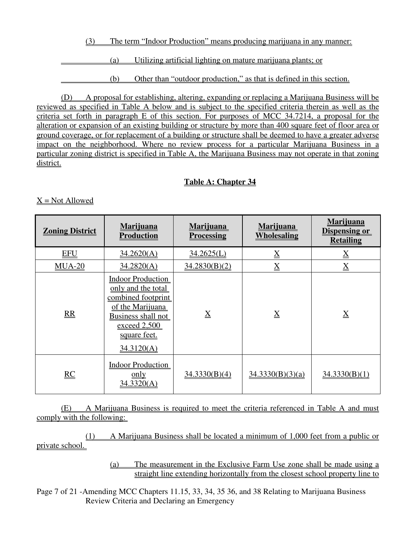(3) The term "Indoor Production" means producing marijuana in any manner:

(a) Utilizing artificial lighting on mature marijuana plants; or

(b) Other than "outdoor production," as that is defined in this section.

(D) A proposal for establishing, altering, expanding or replacing a Marijuana Business will be reviewed as specified in Table A below and is subject to the specified criteria therein as well as the criteria set forth in paragraph E of this section. For purposes of MCC 34.7214, a proposal for the alteration or expansion of an existing building or structure by more than 400 square feet of floor area or ground coverage, or for replacement of a building or structure shall be deemed to have a greater adverse impact on the neighborhood. Where no review process for a particular Marijuana Business in a particular zoning district is specified in Table A, the Marijuana Business may not operate in that zoning district.

## **Table A: Chapter 34**

 $X = Not$  Allowed

| <b>Zoning District</b> | Marijuana<br><b>Production</b>                                                                                                                               | <b>Marijuana</b><br><b>Processing</b> | <b>Marijuana</b><br><b>Wholesaling</b> | <b>Marijuana</b><br><b>Dispensing or</b><br><b>Retailing</b> |
|------------------------|--------------------------------------------------------------------------------------------------------------------------------------------------------------|---------------------------------------|----------------------------------------|--------------------------------------------------------------|
| <b>EFU</b>             | 34.2620(A)                                                                                                                                                   | 34.2625(L)                            | $\underline{X}$                        | $\underline{X}$                                              |
| $MUA-20$               | 34.2820(A)                                                                                                                                                   | 34.2830(B)(2)                         | $\underline{X}$                        | $\underline{X}$                                              |
| RR                     | <b>Indoor Production</b><br>only and the total<br>combined footprint<br>of the Marijuana<br>Business shall not<br>exceed 2,500<br>square feet.<br>34.3120(A) | $\overline{X}$                        | $\overline{X}$                         | $\overline{X}$                                               |
| RC                     | <b>Indoor Production</b><br>only<br>34.3320(A)                                                                                                               | 34.3330(B)(4)                         | 34.3330(B)(3)(a)                       | 34.3330(B)(1)                                                |

(E) A Marijuana Business is required to meet the criteria referenced in Table A and must comply with the following:

(1) A Marijuana Business shall be located a minimum of 1,000 feet from a public or private school.

> (a) The measurement in the Exclusive Farm Use zone shall be made using a straight line extending horizontally from the closest school property line to

Page 7 of 21 -Amending MCC Chapters 11.15, 33, 34, 35 36, and 38 Relating to Marijuana Business Review Criteria and Declaring an Emergency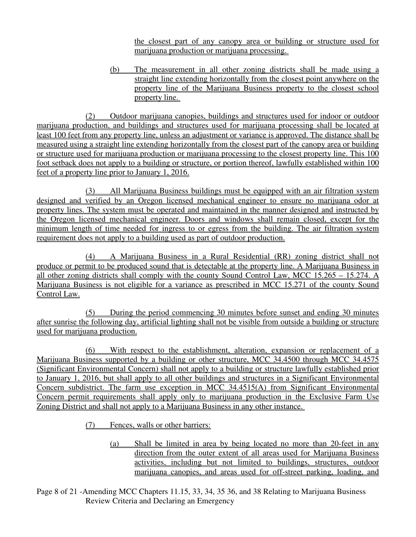the closest part of any canopy area or building or structure used for marijuana production or marijuana processing.

(b) The measurement in all other zoning districts shall be made using a straight line extending horizontally from the closest point anywhere on the property line of the Marijuana Business property to the closest school property line.

(2) Outdoor marijuana canopies, buildings and structures used for indoor or outdoor marijuana production, and buildings and structures used for marijuana processing shall be located at least 100 feet from any property line, unless an adjustment or variance is approved. The distance shall be measured using a straight line extending horizontally from the closest part of the canopy area or building or structure used for marijuana production or marijuana processing to the closest property line. This 100 foot setback does not apply to a building or structure, or portion thereof, lawfully established within 100 feet of a property line prior to January 1, 2016.

(3) All Marijuana Business buildings must be equipped with an air filtration system designed and verified by an Oregon licensed mechanical engineer to ensure no marijuana odor at property lines. The system must be operated and maintained in the manner designed and instructed by the Oregon licensed mechanical engineer. Doors and windows shall remain closed, except for the minimum length of time needed for ingress to or egress from the building. The air filtration system requirement does not apply to a building used as part of outdoor production.

(4) A Marijuana Business in a Rural Residential (RR) zoning district shall not produce or permit to be produced sound that is detectable at the property line. A Marijuana Business in all other zoning districts shall comply with the county Sound Control Law, MCC 15.265 – 15.274. A Marijuana Business is not eligible for a variance as prescribed in MCC 15.271 of the county Sound Control Law.

(5) During the period commencing 30 minutes before sunset and ending 30 minutes after sunrise the following day, artificial lighting shall not be visible from outside a building or structure used for marijuana production.

(6) With respect to the establishment, alteration, expansion or replacement of a Marijuana Business supported by a building or other structure, MCC 34.4500 through MCC 34.4575 (Significant Environmental Concern) shall not apply to a building or structure lawfully established prior to January 1, 2016, but shall apply to all other buildings and structures in a Significant Environmental Concern subdistrict. The farm use exception in MCC 34.4515(A) from Significant Environmental Concern permit requirements shall apply only to marijuana production in the Exclusive Farm Use Zoning District and shall not apply to a Marijuana Business in any other instance.

(7) Fences, walls or other barriers:

(a) Shall be limited in area by being located no more than 20-feet in any direction from the outer extent of all areas used for Marijuana Business activities, including but not limited to buildings, structures, outdoor marijuana canopies, and areas used for off-street parking, loading, and

Page 8 of 21 -Amending MCC Chapters 11.15, 33, 34, 35 36, and 38 Relating to Marijuana Business Review Criteria and Declaring an Emergency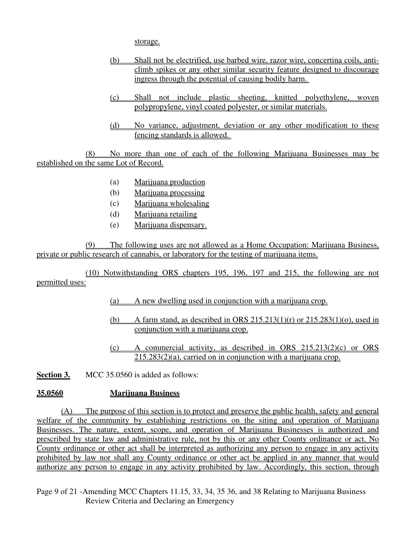storage.

- (b) Shall not be electrified, use barbed wire, razor wire, concertina coils, anticlimb spikes or any other similar security feature designed to discourage ingress through the potential of causing bodily harm.
- (c) Shall not include plastic sheeting, knitted polyethylene, woven polypropylene, vinyl coated polyester, or similar materials.
- (d) No variance, adjustment, deviation or any other modification to these fencing standards is allowed.

(8) No more than one of each of the following Marijuana Businesses may be established on the same Lot of Record.

- (a) Marijuana production
- (b) Marijuana processing
- (c) Marijuana wholesaling
- (d) Marijuana retailing
- (e) Marijuana dispensary.

(9) The following uses are not allowed as a Home Occupation: Marijuana Business, private or public research of cannabis, or laboratory for the testing of marijuana items.

(10) Notwithstanding ORS chapters 195, 196, 197 and 215, the following are not permitted uses:

- (a) A new dwelling used in conjunction with a marijuana crop.
- (b) A farm stand, as described in ORS  $215.213(1)(r)$  or  $215.283(1)(o)$ , used in conjunction with a marijuana crop.
- (c) A commercial activity, as described in ORS 215.213(2)(c) or ORS 215.283(2)(a), carried on in conjunction with a marijuana crop.

**Section 3.** MCC 35.0560 is added as follows:

### **35.0560 Marijuana Business**

(A) The purpose of this section is to protect and preserve the public health, safety and general welfare of the community by establishing restrictions on the siting and operation of Marijuana Businesses. The nature, extent, scope, and operation of Marijuana Businesses is authorized and prescribed by state law and administrative rule, not by this or any other County ordinance or act. No County ordinance or other act shall be interpreted as authorizing any person to engage in any activity prohibited by law nor shall any County ordinance or other act be applied in any manner that would authorize any person to engage in any activity prohibited by law. Accordingly, this section, through

Page 9 of 21 -Amending MCC Chapters 11.15, 33, 34, 35 36, and 38 Relating to Marijuana Business Review Criteria and Declaring an Emergency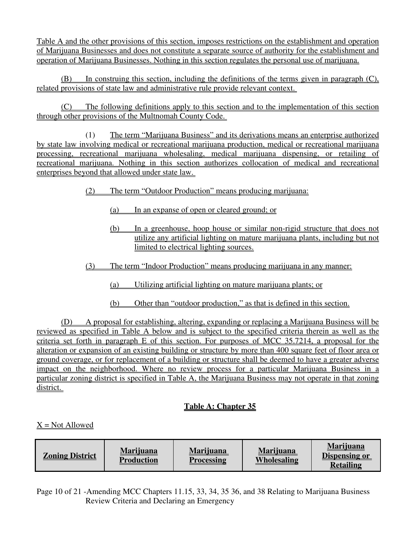Table A and the other provisions of this section, imposes restrictions on the establishment and operation of Marijuana Businesses and does not constitute a separate source of authority for the establishment and operation of Marijuana Businesses. Nothing in this section regulates the personal use of marijuana.

(B) In construing this section, including the definitions of the terms given in paragraph (C), related provisions of state law and administrative rule provide relevant context.

(C) The following definitions apply to this section and to the implementation of this section through other provisions of the Multnomah County Code.

(1) The term "Marijuana Business" and its derivations means an enterprise authorized by state law involving medical or recreational marijuana production, medical or recreational marijuana processing, recreational marijuana wholesaling, medical marijuana dispensing, or retailing of recreational marijuana. Nothing in this section authorizes collocation of medical and recreational enterprises beyond that allowed under state law.

- (2) The term "Outdoor Production" means producing marijuana:
	- (a) In an expanse of open or cleared ground; or
	- (b) In a greenhouse, hoop house or similar non-rigid structure that does not utilize any artificial lighting on mature marijuana plants, including but not limited to electrical lighting sources.
- (3) The term "Indoor Production" means producing marijuana in any manner:
	- (a) Utilizing artificial lighting on mature marijuana plants; or
	- (b) Other than "outdoor production," as that is defined in this section.

(D) A proposal for establishing, altering, expanding or replacing a Marijuana Business will be reviewed as specified in Table A below and is subject to the specified criteria therein as well as the criteria set forth in paragraph E of this section. For purposes of MCC 35.7214, a proposal for the alteration or expansion of an existing building or structure by more than 400 square feet of floor area or ground coverage, or for replacement of a building or structure shall be deemed to have a greater adverse impact on the neighborhood. Where no review process for a particular Marijuana Business in a particular zoning district is specified in Table A, the Marijuana Business may not operate in that zoning district.

## **Table A: Chapter 35**

## $X = Not$  Allowed

| <b>Zoning District</b> | <b>Marijuana</b><br><b>Production</b> | <b>Marijuana</b><br><b>Processing</b> | <b>Marijuana</b><br>Wholesaling | <b>Marijuana</b><br>Dispensing or<br><b>Retailing</b> |
|------------------------|---------------------------------------|---------------------------------------|---------------------------------|-------------------------------------------------------|
|------------------------|---------------------------------------|---------------------------------------|---------------------------------|-------------------------------------------------------|

Page 10 of 21 -Amending MCC Chapters 11.15, 33, 34, 35 36, and 38 Relating to Marijuana Business Review Criteria and Declaring an Emergency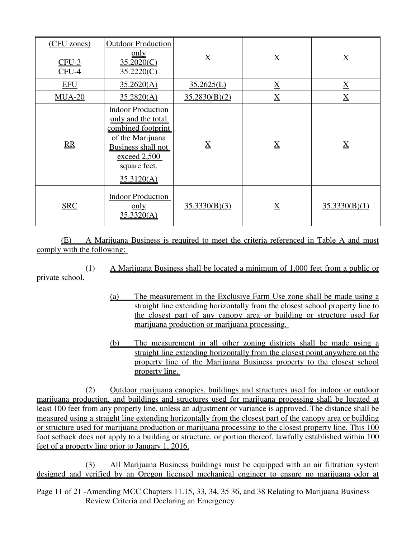| (CFU zones)<br>$CFU-3$<br>$CFU-4$ | <b>Outdoor Production</b><br>$\underline{\text{only}}$<br>35.2020(C)<br>35.2220(C)                                                                           | $\underline{X}$ | $\underline{X}$ | $\underline{X}$ |
|-----------------------------------|--------------------------------------------------------------------------------------------------------------------------------------------------------------|-----------------|-----------------|-----------------|
| <b>EFU</b>                        | 35.2620(A)                                                                                                                                                   | 35.2625(L)      | $\underline{X}$ | $\underline{X}$ |
| $MUA-20$                          | 35.2820(A)                                                                                                                                                   | 35.2830(B)(2)   | $\underline{X}$ | $\underline{X}$ |
| RR                                | <b>Indoor Production</b><br>only and the total<br>combined footprint<br>of the Marijuana<br>Business shall not<br>exceed 2,500<br>square feet.<br>35.3120(A) | $\rm X$         | $\underline{X}$ | $\bf{X}$        |
| <b>SRC</b>                        | <b>Indoor Production</b><br>$\overline{\text{only}}$<br>35.3320(A)                                                                                           | 35.3330(B)(3)   | $\underline{X}$ | 35.3330(B)(1)   |

(E) A Marijuana Business is required to meet the criteria referenced in Table A and must comply with the following:

(1) A Marijuana Business shall be located a minimum of 1,000 feet from a public or

private school.

- (a) The measurement in the Exclusive Farm Use zone shall be made using a straight line extending horizontally from the closest school property line to the closest part of any canopy area or building or structure used for marijuana production or marijuana processing.
- (b) The measurement in all other zoning districts shall be made using a straight line extending horizontally from the closest point anywhere on the property line of the Marijuana Business property to the closest school property line.

(2) Outdoor marijuana canopies, buildings and structures used for indoor or outdoor marijuana production, and buildings and structures used for marijuana processing shall be located at least 100 feet from any property line, unless an adjustment or variance is approved. The distance shall be measured using a straight line extending horizontally from the closest part of the canopy area or building or structure used for marijuana production or marijuana processing to the closest property line. This 100 foot setback does not apply to a building or structure, or portion thereof, lawfully established within 100 feet of a property line prior to January 1, 2016.

(3) All Marijuana Business buildings must be equipped with an air filtration system designed and verified by an Oregon licensed mechanical engineer to ensure no marijuana odor at

Page 11 of 21 -Amending MCC Chapters 11.15, 33, 34, 35 36, and 38 Relating to Marijuana Business Review Criteria and Declaring an Emergency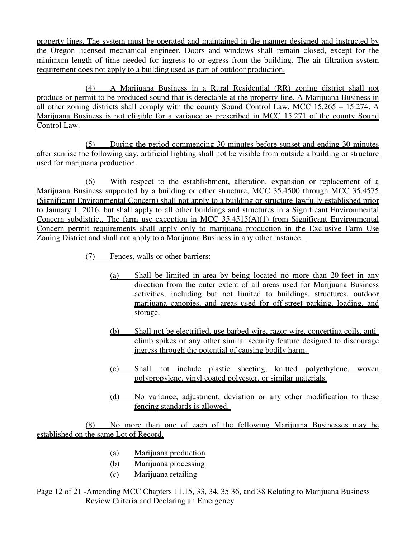property lines. The system must be operated and maintained in the manner designed and instructed by the Oregon licensed mechanical engineer. Doors and windows shall remain closed, except for the minimum length of time needed for ingress to or egress from the building. The air filtration system requirement does not apply to a building used as part of outdoor production.

(4) A Marijuana Business in a Rural Residential (RR) zoning district shall not produce or permit to be produced sound that is detectable at the property line. A Marijuana Business in all other zoning districts shall comply with the county Sound Control Law, MCC 15.265 – 15.274. A Marijuana Business is not eligible for a variance as prescribed in MCC 15.271 of the county Sound Control Law.

(5) During the period commencing 30 minutes before sunset and ending 30 minutes after sunrise the following day, artificial lighting shall not be visible from outside a building or structure used for marijuana production.

(6) With respect to the establishment, alteration, expansion or replacement of a Marijuana Business supported by a building or other structure, MCC 35.4500 through MCC 35.4575 (Significant Environmental Concern) shall not apply to a building or structure lawfully established prior to January 1, 2016, but shall apply to all other buildings and structures in a Significant Environmental Concern subdistrict. The farm use exception in MCC 35.4515(A)(1) from Significant Environmental Concern permit requirements shall apply only to marijuana production in the Exclusive Farm Use Zoning District and shall not apply to a Marijuana Business in any other instance.

(7) Fences, walls or other barriers:

- (a) Shall be limited in area by being located no more than 20-feet in any direction from the outer extent of all areas used for Marijuana Business activities, including but not limited to buildings, structures, outdoor marijuana canopies, and areas used for off-street parking, loading, and storage.
- (b) Shall not be electrified, use barbed wire, razor wire, concertina coils, anticlimb spikes or any other similar security feature designed to discourage ingress through the potential of causing bodily harm.
- (c) Shall not include plastic sheeting, knitted polyethylene, woven polypropylene, vinyl coated polyester, or similar materials.
- (d) No variance, adjustment, deviation or any other modification to these fencing standards is allowed.

(8) No more than one of each of the following Marijuana Businesses may be established on the same Lot of Record.

- (a) Marijuana production
- (b) Marijuana processing
- (c) Marijuana retailing
- Page 12 of 21 -Amending MCC Chapters 11.15, 33, 34, 35 36, and 38 Relating to Marijuana Business Review Criteria and Declaring an Emergency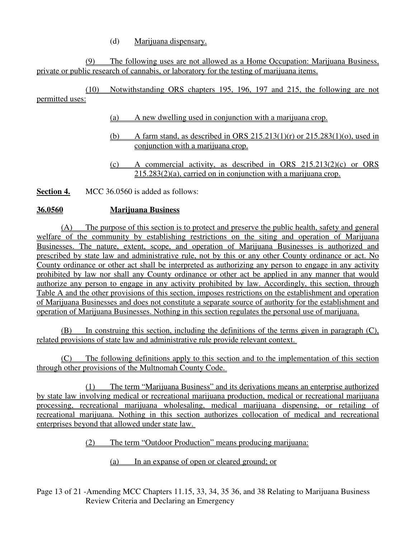(d) Marijuana dispensary.

(9) The following uses are not allowed as a Home Occupation: Marijuana Business, private or public research of cannabis, or laboratory for the testing of marijuana items.

(10) Notwithstanding ORS chapters 195, 196, 197 and 215, the following are not permitted uses:

- (a) A new dwelling used in conjunction with a marijuana crop.
- (b) A farm stand, as described in ORS  $215.213(1)(r)$  or  $215.283(1)(o)$ , used in conjunction with a marijuana crop.
- (c) A commercial activity, as described in ORS 215.213(2)(c) or ORS  $215.283(2)$ (a), carried on in conjunction with a marijuana crop.

**Section 4.** MCC 36.0560 is added as follows:

### **36.0560 Marijuana Business**

(A) The purpose of this section is to protect and preserve the public health, safety and general welfare of the community by establishing restrictions on the siting and operation of Marijuana Businesses. The nature, extent, scope, and operation of Marijuana Businesses is authorized and prescribed by state law and administrative rule, not by this or any other County ordinance or act. No County ordinance or other act shall be interpreted as authorizing any person to engage in any activity prohibited by law nor shall any County ordinance or other act be applied in any manner that would authorize any person to engage in any activity prohibited by law. Accordingly, this section, through Table A and the other provisions of this section, imposes restrictions on the establishment and operation of Marijuana Businesses and does not constitute a separate source of authority for the establishment and operation of Marijuana Businesses. Nothing in this section regulates the personal use of marijuana.

(B) In construing this section, including the definitions of the terms given in paragraph (C), related provisions of state law and administrative rule provide relevant context.

(C) The following definitions apply to this section and to the implementation of this section through other provisions of the Multnomah County Code.

(1) The term "Marijuana Business" and its derivations means an enterprise authorized by state law involving medical or recreational marijuana production, medical or recreational marijuana processing, recreational marijuana wholesaling, medical marijuana dispensing, or retailing of recreational marijuana. Nothing in this section authorizes collocation of medical and recreational enterprises beyond that allowed under state law.

(2) The term "Outdoor Production" means producing marijuana:

(a) In an expanse of open or cleared ground; or

Page 13 of 21 -Amending MCC Chapters 11.15, 33, 34, 35 36, and 38 Relating to Marijuana Business Review Criteria and Declaring an Emergency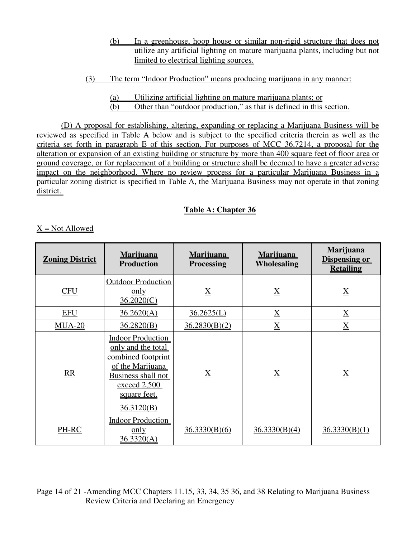- (b) In a greenhouse, hoop house or similar non-rigid structure that does not utilize any artificial lighting on mature marijuana plants, including but not limited to electrical lighting sources.
- (3) The term "Indoor Production" means producing marijuana in any manner:
	- (a) Utilizing artificial lighting on mature marijuana plants; or

(b) Other than "outdoor production," as that is defined in this section.

(D) A proposal for establishing, altering, expanding or replacing a Marijuana Business will be reviewed as specified in Table A below and is subject to the specified criteria therein as well as the criteria set forth in paragraph E of this section. For purposes of MCC 36.7214, a proposal for the alteration or expansion of an existing building or structure by more than 400 square feet of floor area or ground coverage, or for replacement of a building or structure shall be deemed to have a greater adverse impact on the neighborhood. Where no review process for a particular Marijuana Business in a particular zoning district is specified in Table A, the Marijuana Business may not operate in that zoning district.

## **Table A: Chapter 36**

## $X = Not$  Allowed

| <b>Zoning District</b> | <b>Marijuana</b><br><u>Production</u>                                                                                                                               | <u>Marijuana </u><br><b>Processing</b> | <b>Marijuana</b><br><b>Wholesaling</b> | <b>Marijuana</b><br><b>Dispensing or</b><br><b>Retailing</b> |
|------------------------|---------------------------------------------------------------------------------------------------------------------------------------------------------------------|----------------------------------------|----------------------------------------|--------------------------------------------------------------|
| <u>CFU</u>             | <b>Outdoor Production</b><br>only<br>36.2020(C)                                                                                                                     | $\bf{X}$                               | $\underline{X}$                        | $\underline{X}$                                              |
| <b>EFU</b>             | 36.2620(A)                                                                                                                                                          | 36.2625(L)                             | $\underline{X}$                        | $\underline{X}$                                              |
| $MUA-20$               | 36.2820(B)                                                                                                                                                          | 36.2830(B)(2)                          | $\underline{X}$                        | $\overline{X}$                                               |
| RR                     | <b>Indoor Production</b><br>only and the total<br>combined footprint<br>of the Marijuana<br><b>Business shall not</b><br>exceed 2,500<br>square feet.<br>36.3120(B) | $\underline{X}$                        | $\underline{X}$                        | $\underline{X}$                                              |
| PH-RC                  | <b>Indoor Production</b><br>only<br>36.3320(A)                                                                                                                      | 36.3330(B)(6)                          | 36.3330(B)(4)                          | 36.3330(B)(1)                                                |

Page 14 of 21 -Amending MCC Chapters 11.15, 33, 34, 35 36, and 38 Relating to Marijuana Business Review Criteria and Declaring an Emergency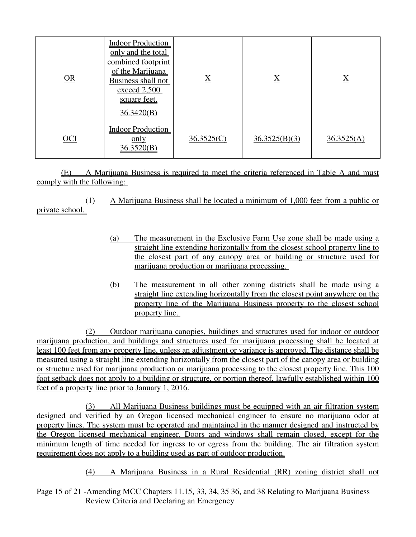| $\overline{\text{OR}}$ | <b>Indoor Production</b><br>only and the total<br>combined footprint<br>of the Marijuana<br><b>Business shall not</b><br>exceed 2,500<br>square feet. | $\underline{X}$ | $\underline{X}$ | $\underline{X}$ |
|------------------------|-------------------------------------------------------------------------------------------------------------------------------------------------------|-----------------|-----------------|-----------------|
|                        | 36.3420(B)                                                                                                                                            |                 |                 |                 |
| <u>OCI</u>             | <b>Indoor Production</b><br>$\underline{\text{only}}$<br>36.3520(B)                                                                                   | 36.3525(C)      | 36.3525(B)(3)   | 36.3525(A)      |

(E) A Marijuana Business is required to meet the criteria referenced in Table A and must comply with the following:

(1) A Marijuana Business shall be located a minimum of 1,000 feet from a public or

private school.

- (a) The measurement in the Exclusive Farm Use zone shall be made using a straight line extending horizontally from the closest school property line to the closest part of any canopy area or building or structure used for marijuana production or marijuana processing.
- (b) The measurement in all other zoning districts shall be made using a straight line extending horizontally from the closest point anywhere on the property line of the Marijuana Business property to the closest school property line.

(2) Outdoor marijuana canopies, buildings and structures used for indoor or outdoor marijuana production, and buildings and structures used for marijuana processing shall be located at least 100 feet from any property line, unless an adjustment or variance is approved. The distance shall be measured using a straight line extending horizontally from the closest part of the canopy area or building or structure used for marijuana production or marijuana processing to the closest property line. This 100 foot setback does not apply to a building or structure, or portion thereof, lawfully established within 100 feet of a property line prior to January 1, 2016.

(3) All Marijuana Business buildings must be equipped with an air filtration system designed and verified by an Oregon licensed mechanical engineer to ensure no marijuana odor at property lines. The system must be operated and maintained in the manner designed and instructed by the Oregon licensed mechanical engineer. Doors and windows shall remain closed, except for the minimum length of time needed for ingress to or egress from the building. The air filtration system requirement does not apply to a building used as part of outdoor production.

(4) A Marijuana Business in a Rural Residential (RR) zoning district shall not

Page 15 of 21 -Amending MCC Chapters 11.15, 33, 34, 35 36, and 38 Relating to Marijuana Business Review Criteria and Declaring an Emergency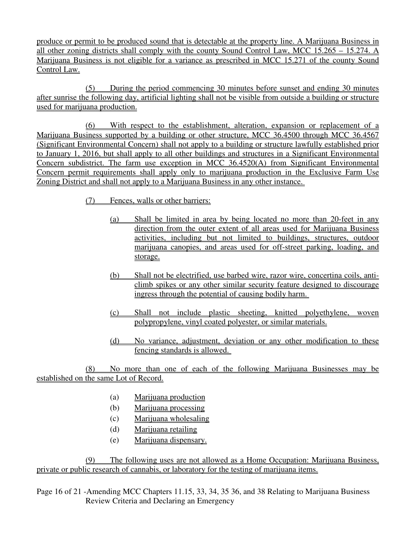produce or permit to be produced sound that is detectable at the property line. A Marijuana Business in all other zoning districts shall comply with the county Sound Control Law, MCC 15.265 – 15.274. A Marijuana Business is not eligible for a variance as prescribed in MCC 15.271 of the county Sound Control Law.

(5) During the period commencing 30 minutes before sunset and ending 30 minutes after sunrise the following day, artificial lighting shall not be visible from outside a building or structure used for marijuana production.

(6) With respect to the establishment, alteration, expansion or replacement of a Marijuana Business supported by a building or other structure, MCC 36.4500 through MCC 36.4567 (Significant Environmental Concern) shall not apply to a building or structure lawfully established prior to January 1, 2016, but shall apply to all other buildings and structures in a Significant Environmental Concern subdistrict. The farm use exception in MCC 36.4520(A) from Significant Environmental Concern permit requirements shall apply only to marijuana production in the Exclusive Farm Use Zoning District and shall not apply to a Marijuana Business in any other instance.

- (7) Fences, walls or other barriers:
	- (a) Shall be limited in area by being located no more than 20-feet in any direction from the outer extent of all areas used for Marijuana Business activities, including but not limited to buildings, structures, outdoor marijuana canopies, and areas used for off-street parking, loading, and storage.
	- (b) Shall not be electrified, use barbed wire, razor wire, concertina coils, anticlimb spikes or any other similar security feature designed to discourage ingress through the potential of causing bodily harm.
	- (c) Shall not include plastic sheeting, knitted polyethylene, woven polypropylene, vinyl coated polyester, or similar materials.
	- (d) No variance, adjustment, deviation or any other modification to these fencing standards is allowed.

(8) No more than one of each of the following Marijuana Businesses may be established on the same Lot of Record.

- (a) Marijuana production
- (b) Marijuana processing
- (c) Marijuana wholesaling
- (d) Marijuana retailing
- (e) Marijuana dispensary.

(9) The following uses are not allowed as a Home Occupation: Marijuana Business, private or public research of cannabis, or laboratory for the testing of marijuana items.

Page 16 of 21 -Amending MCC Chapters 11.15, 33, 34, 35 36, and 38 Relating to Marijuana Business Review Criteria and Declaring an Emergency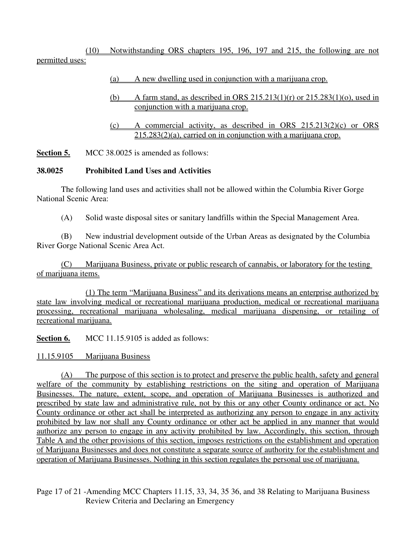(10) Notwithstanding ORS chapters 195, 196, 197 and 215, the following are not permitted uses:

- (a) A new dwelling used in conjunction with a marijuana crop.
- (b) A farm stand, as described in ORS  $215.213(1)(r)$  or  $215.283(1)(o)$ , used in conjunction with a marijuana crop.
- (c) A commercial activity, as described in ORS 215.213(2)(c) or ORS 215.283(2)(a), carried on in conjunction with a marijuana crop.

**Section 5.** MCC 38.0025 is amended as follows:

#### **38.0025 Prohibited Land Uses and Activities**

The following land uses and activities shall not be allowed within the Columbia River Gorge National Scenic Area:

(A) Solid waste disposal sites or sanitary landfills within the Special Management Area.

(B) New industrial development outside of the Urban Areas as designated by the Columbia River Gorge National Scenic Area Act.

(C) Marijuana Business, private or public research of cannabis, or laboratory for the testing of marijuana items.

(1) The term "Marijuana Business" and its derivations means an enterprise authorized by state law involving medical or recreational marijuana production, medical or recreational marijuana processing, recreational marijuana wholesaling, medical marijuana dispensing, or retailing of recreational marijuana.

**Section 6.** MCC 11.15.9105 is added as follows:

11.15.9105 Marijuana Business

(A) The purpose of this section is to protect and preserve the public health, safety and general welfare of the community by establishing restrictions on the siting and operation of Marijuana Businesses. The nature, extent, scope, and operation of Marijuana Businesses is authorized and prescribed by state law and administrative rule, not by this or any other County ordinance or act. No County ordinance or other act shall be interpreted as authorizing any person to engage in any activity prohibited by law nor shall any County ordinance or other act be applied in any manner that would authorize any person to engage in any activity prohibited by law. Accordingly, this section, through Table A and the other provisions of this section, imposes restrictions on the establishment and operation of Marijuana Businesses and does not constitute a separate source of authority for the establishment and operation of Marijuana Businesses. Nothing in this section regulates the personal use of marijuana.

Page 17 of 21 -Amending MCC Chapters 11.15, 33, 34, 35 36, and 38 Relating to Marijuana Business Review Criteria and Declaring an Emergency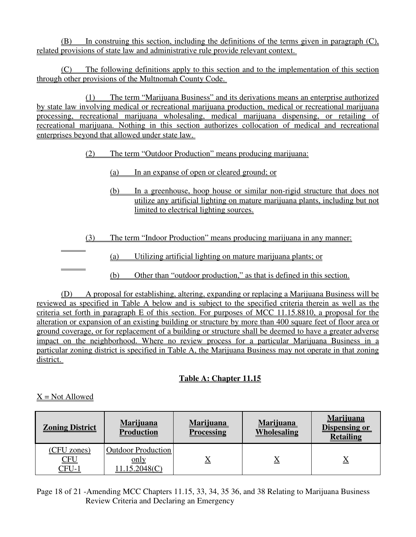(B) In construing this section, including the definitions of the terms given in paragraph (C), related provisions of state law and administrative rule provide relevant context.

(C) The following definitions apply to this section and to the implementation of this section through other provisions of the Multnomah County Code.

(1) The term "Marijuana Business" and its derivations means an enterprise authorized by state law involving medical or recreational marijuana production, medical or recreational marijuana processing, recreational marijuana wholesaling, medical marijuana dispensing, or retailing of recreational marijuana. Nothing in this section authorizes collocation of medical and recreational enterprises beyond that allowed under state law.

## (2) The term "Outdoor Production" means producing marijuana:

- (a) In an expanse of open or cleared ground; or
- (b) In a greenhouse, hoop house or similar non-rigid structure that does not utilize any artificial lighting on mature marijuana plants, including but not limited to electrical lighting sources.
- (3) The term "Indoor Production" means producing marijuana in any manner:
	- (a) Utilizing artificial lighting on mature marijuana plants; or
	- (b) Other than "outdoor production," as that is defined in this section.

(D) A proposal for establishing, altering, expanding or replacing a Marijuana Business will be reviewed as specified in Table A below and is subject to the specified criteria therein as well as the criteria set forth in paragraph E of this section. For purposes of MCC 11.15.8810, a proposal for the alteration or expansion of an existing building or structure by more than 400 square feet of floor area or ground coverage, or for replacement of a building or structure shall be deemed to have a greater adverse impact on the neighborhood. Where no review process for a particular Marijuana Business in a particular zoning district is specified in Table A, the Marijuana Business may not operate in that zoning district.

# **Table A: Chapter 11.15**

## $X = Not$  Allowed

| <b>Zoning District</b>                    | <b>Marijuana</b><br><b>Production</b>              | <b>Marijuana</b><br><b>Processing</b> | <b>Marijuana</b><br><b>Wholesaling</b> | <b>Marijuana</b><br><b>Dispensing or</b><br><b>Retailing</b> |
|-------------------------------------------|----------------------------------------------------|---------------------------------------|----------------------------------------|--------------------------------------------------------------|
| (CFU zones)<br><u>CFU</u><br><u>CFU-1</u> | <b>Outdoor Production</b><br>only<br>11.15.2048(C) | ▵                                     | $\overline{\mathrm{X}}$                | $\Delta$                                                     |

Page 18 of 21 -Amending MCC Chapters 11.15, 33, 34, 35 36, and 38 Relating to Marijuana Business Review Criteria and Declaring an Emergency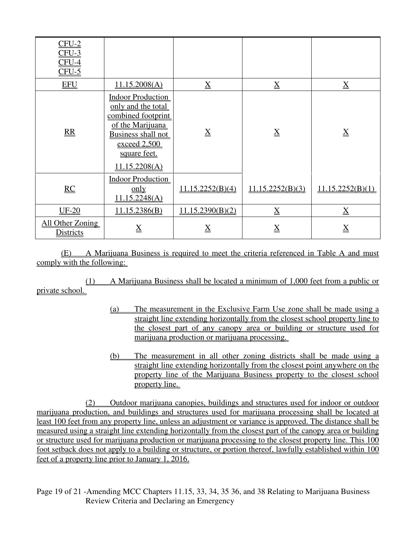| $CFU-2$<br>$CFU-3$<br>$CFU-4$<br>$CFU-5$ |                                                                                                                                                                 |                  |                  |                  |
|------------------------------------------|-----------------------------------------------------------------------------------------------------------------------------------------------------------------|------------------|------------------|------------------|
| <b>EFU</b>                               | 11.15.2008(A)                                                                                                                                                   | $\underline{X}$  | $\underline{X}$  | $\underline{X}$  |
| $\underline{RR}$                         | <b>Indoor Production</b><br>only and the total<br>combined footprint<br>of the Marijuana<br>Business shall not<br>exceed 2,500<br>square feet.<br>11.15.2208(A) | $\underline{X}$  | $\underline{X}$  | $\underline{X}$  |
| RC                                       | <b>Indoor Production</b><br>only<br>11.15.2248(A)                                                                                                               | 11.15.2252(B)(4) | 11.15.2252(B)(3) | 11.15.2252(B)(1) |
| <b>UF-20</b>                             | 11.15.2386(B)                                                                                                                                                   | 11.15.2390(B)(2) | $\underline{X}$  | $\underline{X}$  |
| All Other Zoning<br><b>Districts</b>     | $\underline{X}$                                                                                                                                                 | $\underline{X}$  | $\underline{X}$  | $\underline{X}$  |

(E) A Marijuana Business is required to meet the criteria referenced in Table A and must comply with the following:

(1) A Marijuana Business shall be located a minimum of 1,000 feet from a public or private school.

- (a) The measurement in the Exclusive Farm Use zone shall be made using a straight line extending horizontally from the closest school property line to the closest part of any canopy area or building or structure used for marijuana production or marijuana processing.
- (b) The measurement in all other zoning districts shall be made using a straight line extending horizontally from the closest point anywhere on the property line of the Marijuana Business property to the closest school property line.

(2) Outdoor marijuana canopies, buildings and structures used for indoor or outdoor marijuana production, and buildings and structures used for marijuana processing shall be located at least 100 feet from any property line, unless an adjustment or variance is approved. The distance shall be measured using a straight line extending horizontally from the closest part of the canopy area or building or structure used for marijuana production or marijuana processing to the closest property line. This 100 foot setback does not apply to a building or structure, or portion thereof, lawfully established within 100 feet of a property line prior to January 1, 2016.

Page 19 of 21 -Amending MCC Chapters 11.15, 33, 34, 35 36, and 38 Relating to Marijuana Business Review Criteria and Declaring an Emergency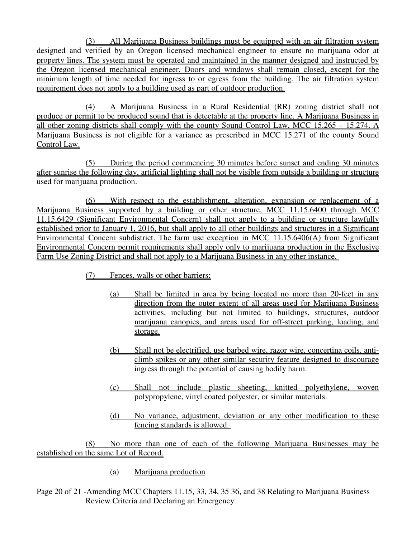(3) All Marijuana Business buildings must be equipped with an air filtration system designed and verified by an Oregon licensed mechanical engineer to ensure no marijuana odor at property lines. The system must be operated and maintained in the manner designed and instructed by the Oregon licensed mechanical engineer. Doors and windows shall remain closed, except for the minimum length of time needed for ingress to or egress from the building. The air filtration system requirement does not apply to a building used as part of outdoor production.

(4) A Marijuana Business in a Rural Residential (RR) zoning district shall not produce or permit to be produced sound that is detectable at the property line. A Marijuana Business in all other zoning districts shall comply with the county Sound Control Law, MCC 15.265 – 15.274. A Marijuana Business is not eligible for a variance as prescribed in MCC 15.271 of the county Sound Control Law.

(5) During the period commencing 30 minutes before sunset and ending 30 minutes after sunrise the following day, artificial lighting shall not be visible from outside a building or structure used for marijuana production.

(6) With respect to the establishment, alteration, expansion or replacement of a Marijuana Business supported by a building or other structure, MCC 11.15.6400 through MCC 11.15.6429 (Significant Environmental Concern) shall not apply to a building or structure lawfully established prior to January 1, 2016, but shall apply to all other buildings and structures in a Significant Environmental Concern subdistrict. The farm use exception in MCC 11.15.6406(A) from Significant Environmental Concern permit requirements shall apply only to marijuana production in the Exclusive Farm Use Zoning District and shall not apply to a Marijuana Business in any other instance.

- (7) Fences, walls or other barriers:
	- (a) Shall be limited in area by being located no more than 20-feet in any direction from the outer extent of all areas used for Marijuana Business activities, including but not limited to buildings, structures, outdoor marijuana canopies, and areas used for off-street parking, loading, and storage.
	- (b) Shall not be electrified, use barbed wire, razor wire, concertina coils, anticlimb spikes or any other similar security feature designed to discourage ingress through the potential of causing bodily harm.
	- (c) Shall not include plastic sheeting, knitted polyethylene, woven polypropylene, vinyl coated polyester, or similar materials.
	- (d) No variance, adjustment, deviation or any other modification to these fencing standards is allowed.

(8) No more than one of each of the following Marijuana Businesses may be established on the same Lot of Record.

- (a) Marijuana production
- Page 20 of 21 -Amending MCC Chapters 11.15, 33, 34, 35 36, and 38 Relating to Marijuana Business Review Criteria and Declaring an Emergency